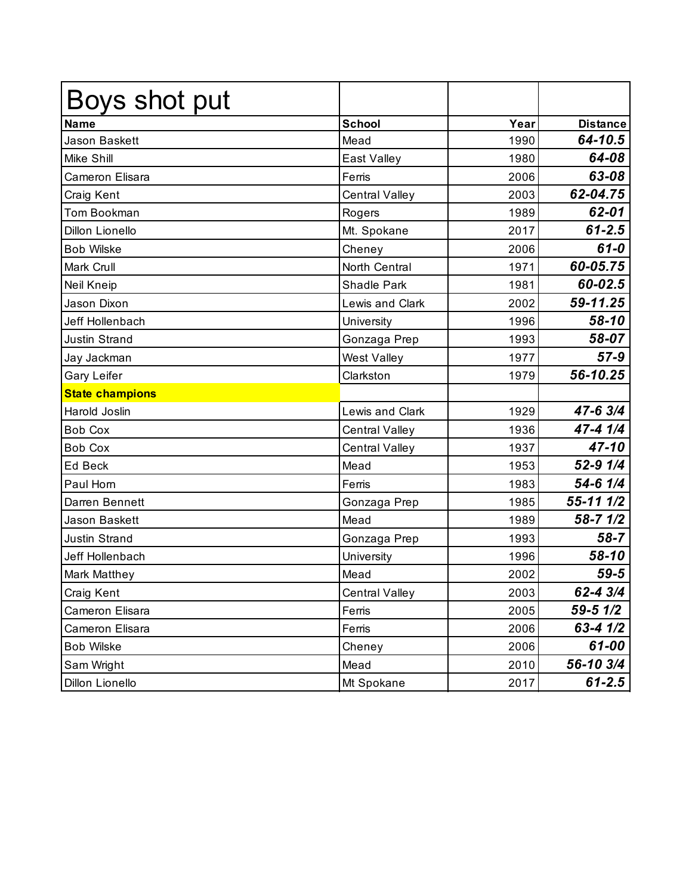| Boys shot put          |                       |      |                 |
|------------------------|-----------------------|------|-----------------|
| <b>Name</b>            | <b>School</b>         | Year | <b>Distance</b> |
| <b>Jason Baskett</b>   | Mead                  | 1990 | 64-10.5         |
| <b>Mike Shill</b>      | East Valley           | 1980 | 64-08           |
| Cameron Elisara        | Ferris                | 2006 | 63-08           |
| Craig Kent             | <b>Central Valley</b> | 2003 | 62-04.75        |
| Tom Bookman            | Rogers                | 1989 | 62-01           |
| <b>Dillon Lionello</b> | Mt. Spokane           | 2017 | $61 - 2.5$      |
| <b>Bob Wilske</b>      | Cheney                | 2006 | $61 - 0$        |
| <b>Mark Crull</b>      | North Central         | 1971 | 60-05.75        |
| Neil Kneip             | <b>Shadle Park</b>    | 1981 | 60-02.5         |
| Jason Dixon            | Lewis and Clark       | 2002 | 59-11.25        |
| Jeff Hollenbach        | University            | 1996 | 58-10           |
| <b>Justin Strand</b>   | Gonzaga Prep          | 1993 | 58-07           |
| Jay Jackman            | West Valley           | 1977 | $57-9$          |
| Gary Leifer            | Clarkston             | 1979 | 56-10.25        |
| <b>State champions</b> |                       |      |                 |
| Harold Joslin          | Lewis and Clark       | 1929 | 47-6 3/4        |
| <b>Bob Cox</b>         | <b>Central Valley</b> | 1936 | 47-4 1/4        |
| <b>Bob Cox</b>         | <b>Central Valley</b> | 1937 | 47-10           |
| Ed Beck                | Mead                  | 1953 | 52-9 1/4        |
| Paul Horn              | Ferris                | 1983 | 54-6 1/4        |
| Darren Bennett         | Gonzaga Prep          | 1985 | 55-11 1/2       |
| Jason Baskett          | Mead                  | 1989 | $58 - 7$ $1/2$  |
| <b>Justin Strand</b>   | Gonzaga Prep          | 1993 | $58 - 7$        |
| Jeff Hollenbach        | University            | 1996 | 58-10           |
| <b>Mark Matthey</b>    | Mead                  | 2002 | $59 - 5$        |
| Craig Kent             | <b>Central Valley</b> | 2003 | 62-4 3/4        |
| Cameron Elisara        | Ferris                | 2005 | 59-5 1/2        |
| Cameron Elisara        | Ferris                | 2006 | $63 - 41/2$     |
| <b>Bob Wilske</b>      | Cheney                | 2006 | 61-00           |
| Sam Wright             | Mead                  | 2010 | 56-10 3/4       |
| Dillon Lionello        | Mt Spokane            | 2017 | $61 - 2.5$      |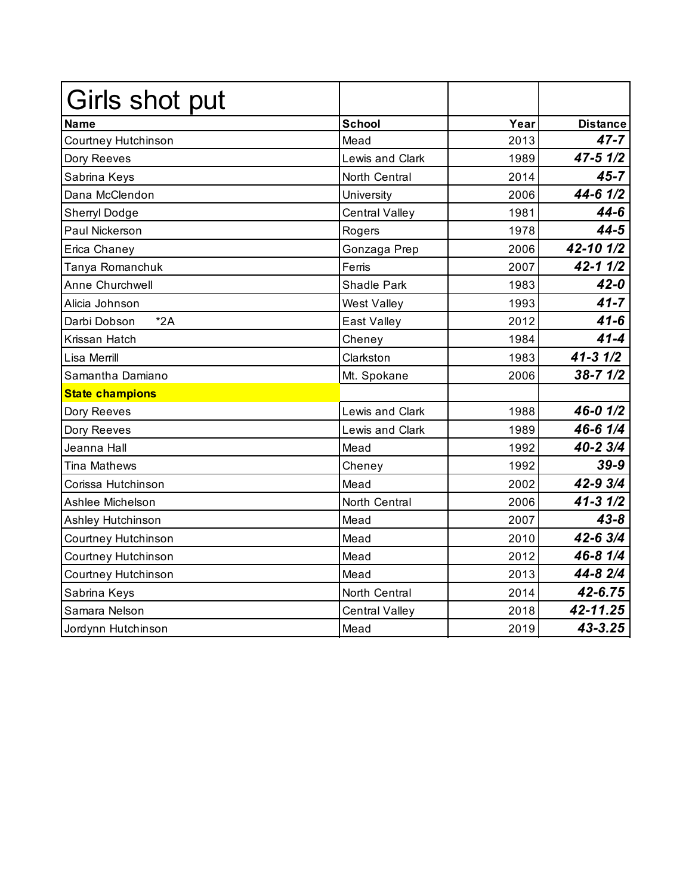| Girls shot put         |                        |      |                      |
|------------------------|------------------------|------|----------------------|
| <b>Name</b>            | <b>School</b>          | Year | <b>Distance</b>      |
| Courtney Hutchinson    | Mead                   | 2013 | $47 - 7$             |
| Dory Reeves            | <b>Lewis and Clark</b> | 1989 | $47 - 5 \frac{1}{2}$ |
| Sabrina Keys           | North Central          | 2014 | $45 - 7$             |
| Dana McClendon         | University             | 2006 | $44 - 6$ $1/2$       |
| Sherryl Dodge          | Central Valley         | 1981 | $44 - 6$             |
| Paul Nickerson         | Rogers                 | 1978 | $44 - 5$             |
| Erica Chaney           | Gonzaga Prep           | 2006 | 42-10 1/2            |
| Tanya Romanchuk        | Ferris                 | 2007 | $42 - 11/2$          |
| Anne Churchwell        | <b>Shadle Park</b>     | 1983 | $42 - 0$             |
| Alicia Johnson         | West Valley            | 1993 | $41 - 7$             |
| $*2A$<br>Darbi Dobson  | East Valley            | 2012 | $41 - 6$             |
| Krissan Hatch          | Cheney                 | 1984 | $41 - 4$             |
| Lisa Merrill           | Clarkston              | 1983 | $41 - 31/2$          |
| Samantha Damiano       | Mt. Spokane            | 2006 | $38 - 7$ $1/2$       |
| <b>State champions</b> |                        |      |                      |
| Dory Reeves            | Lewis and Clark        | 1988 | 46-0 1/2             |
| Dory Reeves            | Lewis and Clark        | 1989 | 46-6 1/4             |
| Jeanna Hall            | Mead                   | 1992 | 40-2 3/4             |
| <b>Tina Mathews</b>    | Cheney                 | 1992 | $39-9$               |
| Corissa Hutchinson     | Mead                   | 2002 | 42-9 3/4             |
| Ashlee Michelson       | North Central          | 2006 | $41 - 31/2$          |
| Ashley Hutchinson      | Mead                   | 2007 | $43 - 8$             |
| Courtney Hutchinson    | Mead                   | 2010 | 42-6 3/4             |
| Courtney Hutchinson    | Mead                   | 2012 | 46-8 1/4             |
| Courtney Hutchinson    | Mead                   | 2013 | 44-8 2/4             |
| Sabrina Keys           | North Central          | 2014 | 42-6.75              |
| Samara Nelson          | Central Valley         | 2018 | 42-11.25             |
| Jordynn Hutchinson     | Mead                   | 2019 | 43-3.25              |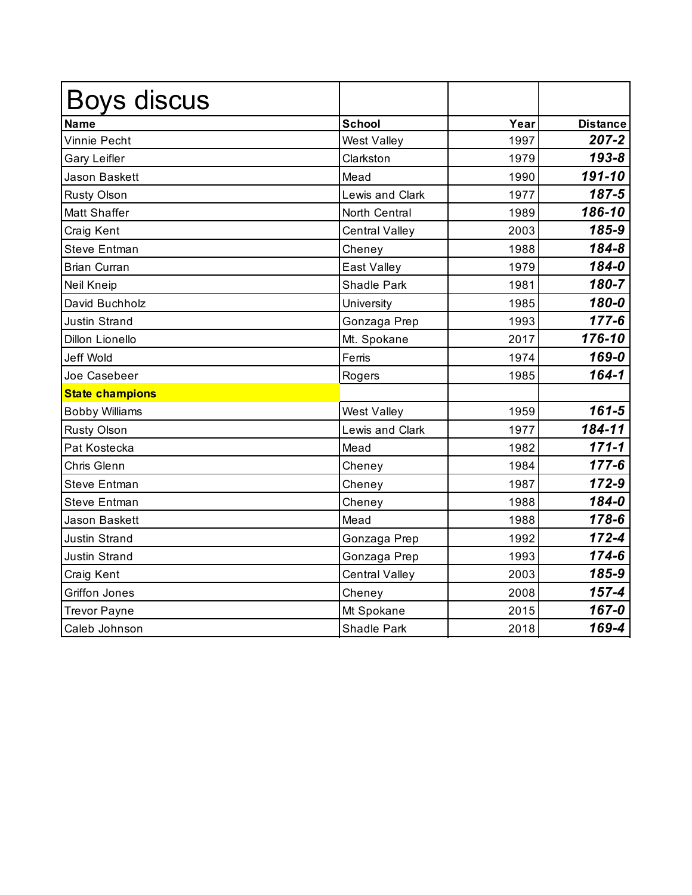| <b>Boys discus</b>     |                       |      |                 |
|------------------------|-----------------------|------|-----------------|
| <b>Name</b>            | School                | Year | <b>Distance</b> |
| <b>Vinnie Pecht</b>    | <b>West Valley</b>    | 1997 | $207 - 2$       |
| <b>Gary Leifler</b>    | Clarkston             | 1979 | $193 - 8$       |
| <b>Jason Baskett</b>   | Mead                  | 1990 | 191-10          |
| <b>Rusty Olson</b>     | Lewis and Clark       | 1977 | 187-5           |
| <b>Matt Shaffer</b>    | North Central         | 1989 | 186-10          |
| Craig Kent             | <b>Central Valley</b> | 2003 | 185-9           |
| <b>Steve Entman</b>    | Cheney                | 1988 | 184-8           |
| <b>Brian Curran</b>    | East Valley           | 1979 | 184-0           |
| <b>Neil Kneip</b>      | Shadle Park           | 1981 | 180-7           |
| David Buchholz         | University            | 1985 | 180-0           |
| <b>Justin Strand</b>   | Gonzaga Prep          | 1993 | $177 - 6$       |
| <b>Dillon Lionello</b> | Mt. Spokane           | 2017 | 176-10          |
| <b>Jeff Wold</b>       | Ferris                | 1974 | 169-0           |
| Joe Casebeer           | Rogers                | 1985 | $164 - 1$       |
| <b>State champions</b> |                       |      |                 |
| <b>Bobby Williams</b>  | <b>West Valley</b>    | 1959 | $161 - 5$       |
| <b>Rusty Olson</b>     | Lewis and Clark       | 1977 | 184-11          |
| Pat Kostecka           | Mead                  | 1982 | $171 - 1$       |
| Chris Glenn            | Cheney                | 1984 | $177 - 6$       |
| <b>Steve Entman</b>    | Cheney                | 1987 | 172-9           |
| <b>Steve Entman</b>    | Cheney                | 1988 | 184-0           |
| <b>Jason Baskett</b>   | Mead                  | 1988 | 178-6           |
| <b>Justin Strand</b>   | Gonzaga Prep          | 1992 | $172 - 4$       |
| <b>Justin Strand</b>   | Gonzaga Prep          | 1993 | 174-6           |
| Craig Kent             | <b>Central Valley</b> | 2003 | 185-9           |
| <b>Griffon Jones</b>   | Cheney                | 2008 | $157 - 4$       |
| <b>Trevor Payne</b>    | Mt Spokane            | 2015 | 167-0           |
| Caleb Johnson          | <b>Shadle Park</b>    | 2018 | 169-4           |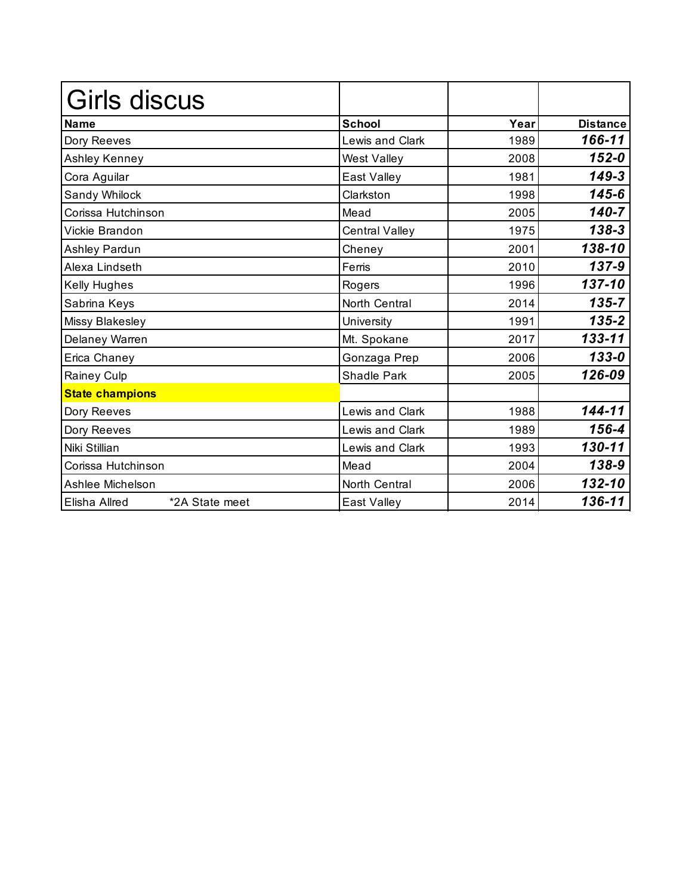| Girls discus                    |                       |      |                 |
|---------------------------------|-----------------------|------|-----------------|
| <b>Name</b>                     | <b>School</b>         | Year | <b>Distance</b> |
| Dory Reeves                     | Lewis and Clark       | 1989 | 166-11          |
| Ashley Kenney                   | <b>West Valley</b>    | 2008 | $152 - 0$       |
| Cora Aguilar                    | East Valley           | 1981 | $149 - 3$       |
| Sandy Whilock                   | Clarkston             | 1998 | $145 - 6$       |
| Corissa Hutchinson              | Mead                  | 2005 | $140 - 7$       |
| Vickie Brandon                  | <b>Central Valley</b> | 1975 | 138-3           |
| Ashley Pardun                   | Cheney                | 2001 | 138-10          |
| Alexa Lindseth                  | Ferris                | 2010 | 137-9           |
| Kelly Hughes                    | Rogers                | 1996 | 137-10          |
| Sabrina Keys                    | North Central         | 2014 | $135 - 7$       |
| Missy Blakesley                 | University            | 1991 | $135 - 2$       |
| Delaney Warren                  | Mt. Spokane           | 2017 | 133-11          |
| Erica Chaney                    | Gonzaga Prep          | 2006 | $133 - 0$       |
| Rainey Culp                     | Shadle Park           | 2005 | 126-09          |
| <b>State champions</b>          |                       |      |                 |
| Dory Reeves                     | Lewis and Clark       | 1988 | 144-11          |
| Dory Reeves                     | Lewis and Clark       | 1989 | 156-4           |
| Niki Stillian                   | Lewis and Clark       | 1993 | 130-11          |
| Corissa Hutchinson              | Mead                  | 2004 | 138-9           |
| Ashlee Michelson                | North Central         | 2006 | 132-10          |
| *2A State meet<br>Elisha Allred | East Valley           | 2014 | 136-11          |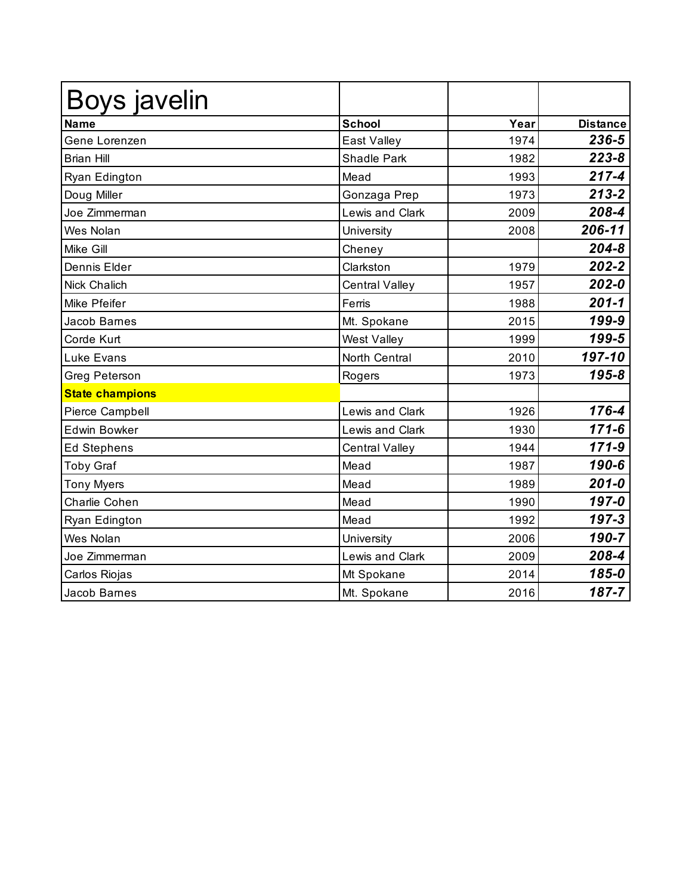| Boys javelin           |                       |      |                 |
|------------------------|-----------------------|------|-----------------|
| <b>Name</b>            | <b>School</b>         | Year | <b>Distance</b> |
| Gene Lorenzen          | East Valley           | 1974 | 236-5           |
| <b>Brian Hill</b>      | <b>Shadle Park</b>    | 1982 | $223 - 8$       |
| Ryan Edington          | Mead                  | 1993 | $217 - 4$       |
| Doug Miller            | Gonzaga Prep          | 1973 | $213 - 2$       |
| Joe Zimmerman          | Lewis and Clark       | 2009 | 208-4           |
| Wes Nolan              | University            | 2008 | 206-11          |
| Mike Gill              | Cheney                |      | $204 - 8$       |
| Dennis Elder           | Clarkston             | 1979 | $202 - 2$       |
| <b>Nick Chalich</b>    | <b>Central Valley</b> | 1957 | $202 - 0$       |
| Mike Pfeifer           | Ferris                | 1988 | $201 - 1$       |
| Jacob Barnes           | Mt. Spokane           | 2015 | 199-9           |
| Corde Kurt             | <b>West Valley</b>    | 1999 | 199-5           |
| <b>Luke Evans</b>      | North Central         | 2010 | 197-10          |
| Greg Peterson          | Rogers                | 1973 | 195-8           |
| <b>State champions</b> |                       |      |                 |
| Pierce Campbell        | Lewis and Clark       | 1926 | 176-4           |
| <b>Edwin Bowker</b>    | Lewis and Clark       | 1930 | $171 - 6$       |
| <b>Ed Stephens</b>     | <b>Central Valley</b> | 1944 | $171 - 9$       |
| <b>Toby Graf</b>       | Mead                  | 1987 | 190-6           |
| <b>Tony Myers</b>      | Mead                  | 1989 | $201 - 0$       |
| Charlie Cohen          | Mead                  | 1990 | 197-0           |
| Ryan Edington          | Mead                  | 1992 | $197 - 3$       |
| Wes Nolan              | University            | 2006 | 190-7           |
| Joe Zimmerman          | Lewis and Clark       | 2009 | 208-4           |
| Carlos Riojas          | Mt Spokane            | 2014 | 185-0           |
| Jacob Barnes           | Mt. Spokane           | 2016 | 187-7           |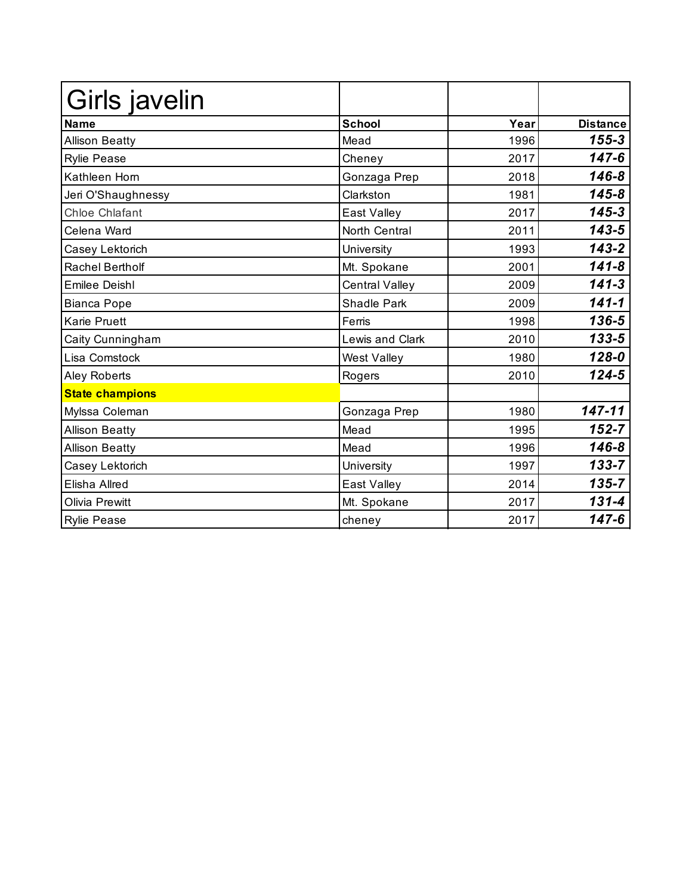| Girls javelin          |                       |      |                 |
|------------------------|-----------------------|------|-----------------|
| <b>Name</b>            | <b>School</b>         | Year | <b>Distance</b> |
| <b>Allison Beatty</b>  | Mead                  | 1996 | $155 - 3$       |
| <b>Rylie Pease</b>     | Cheney                | 2017 | $147 - 6$       |
| Kathleen Horn          | Gonzaga Prep          | 2018 | $146 - 8$       |
| Jeri O'Shaughnessy     | Clarkston             | 1981 | $145 - 8$       |
| <b>Chloe Chlafant</b>  | East Valley           | 2017 | $145 - 3$       |
| Celena Ward            | North Central         | 2011 | $143 - 5$       |
| Casey Lektorich        | University            | 1993 | $143 - 2$       |
| <b>Rachel Bertholf</b> | Mt. Spokane           | 2001 | $141 - 8$       |
| <b>Emilee Deishl</b>   | <b>Central Valley</b> | 2009 | $141 - 3$       |
| <b>Bianca Pope</b>     | <b>Shadle Park</b>    | 2009 | $141 - 1$       |
| <b>Karie Pruett</b>    | Ferris                | 1998 | 136-5           |
| Caity Cunningham       | Lewis and Clark       | 2010 | $133 - 5$       |
| Lisa Comstock          | <b>West Valley</b>    | 1980 | $128 - 0$       |
| Aley Roberts           | Rogers                | 2010 | $124 - 5$       |
| <b>State champions</b> |                       |      |                 |
| Mylssa Coleman         | Gonzaga Prep          | 1980 | 147-11          |
| <b>Allison Beatty</b>  | Mead                  | 1995 | $152 - 7$       |
| <b>Allison Beatty</b>  | Mead                  | 1996 | $146 - 8$       |
| Casey Lektorich        | University            | 1997 | $133 - 7$       |
| Elisha Allred          | East Valley           | 2014 | $135 - 7$       |
| <b>Olivia Prewitt</b>  | Mt. Spokane           | 2017 | $131 - 4$       |
| <b>Rylie Pease</b>     | cheney                | 2017 | $147 - 6$       |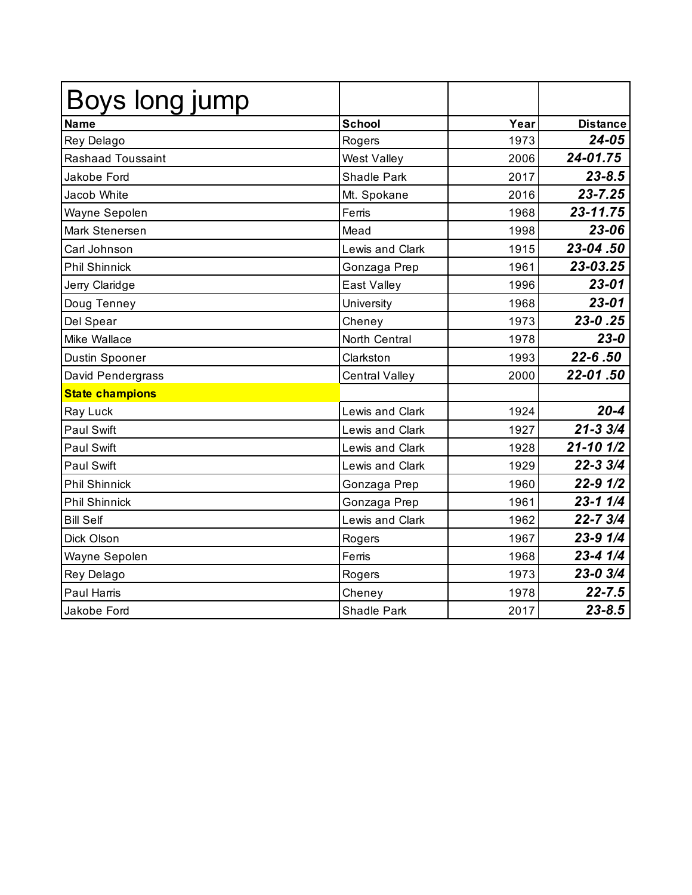| Boys long jump           |                        |      |                 |
|--------------------------|------------------------|------|-----------------|
| <b>Name</b>              | <b>School</b>          | Year | <b>Distance</b> |
| Rey Delago               | Rogers                 | 1973 | $24 - 05$       |
| <b>Rashaad Toussaint</b> | West Valley            | 2006 | 24-01.75        |
| Jakobe Ford              | <b>Shadle Park</b>     | 2017 | $23 - 8.5$      |
| Jacob White              | Mt. Spokane            | 2016 | $23 - 7.25$     |
| Wayne Sepolen            | Ferris                 | 1968 | 23-11.75        |
| Mark Stenersen           | Mead                   | 1998 | 23-06           |
| Carl Johnson             | Lewis and Clark        | 1915 | 23-04.50        |
| <b>Phil Shinnick</b>     | Gonzaga Prep           | 1961 | 23-03.25        |
| Jerry Claridge           | East Valley            | 1996 | $23 - 01$       |
| Doug Tenney              | University             | 1968 | $23 - 01$       |
| Del Spear                | Cheney                 | 1973 | 23-0.25         |
| Mike Wallace             | North Central          | 1978 | $23 - 0$        |
| Dustin Spooner           | Clarkston              | 1993 | 22-6.50         |
| David Pendergrass        | Central Valley         | 2000 | 22-01.50        |
| <b>State champions</b>   |                        |      |                 |
| Ray Luck                 | <b>Lewis and Clark</b> | 1924 | $20 - 4$        |
| <b>Paul Swift</b>        | Lewis and Clark        | 1927 | $21 - 33/4$     |
| <b>Paul Swift</b>        | Lewis and Clark        | 1928 | $21 - 10$ $1/2$ |
| <b>Paul Swift</b>        | Lewis and Clark        | 1929 | $22 - 33/4$     |
| <b>Phil Shinnick</b>     | Gonzaga Prep           | 1960 | $22 - 9$ $1/2$  |
| <b>Phil Shinnick</b>     | Gonzaga Prep           | 1961 | $23 - 11/4$     |
| <b>Bill Self</b>         | Lewis and Clark        | 1962 | 22-7 3/4        |
| Dick Olson               | Rogers                 | 1967 | 23-9 1/4        |
| Wayne Sepolen            | Ferris                 | 1968 | $23 - 4$ $1/4$  |
| Rey Delago               | Rogers                 | 1973 | 23-0 3/4        |
| <b>Paul Harris</b>       | Cheney                 | 1978 | $22 - 7.5$      |
| Jakobe Ford              | Shadle Park            | 2017 | $23 - 8.5$      |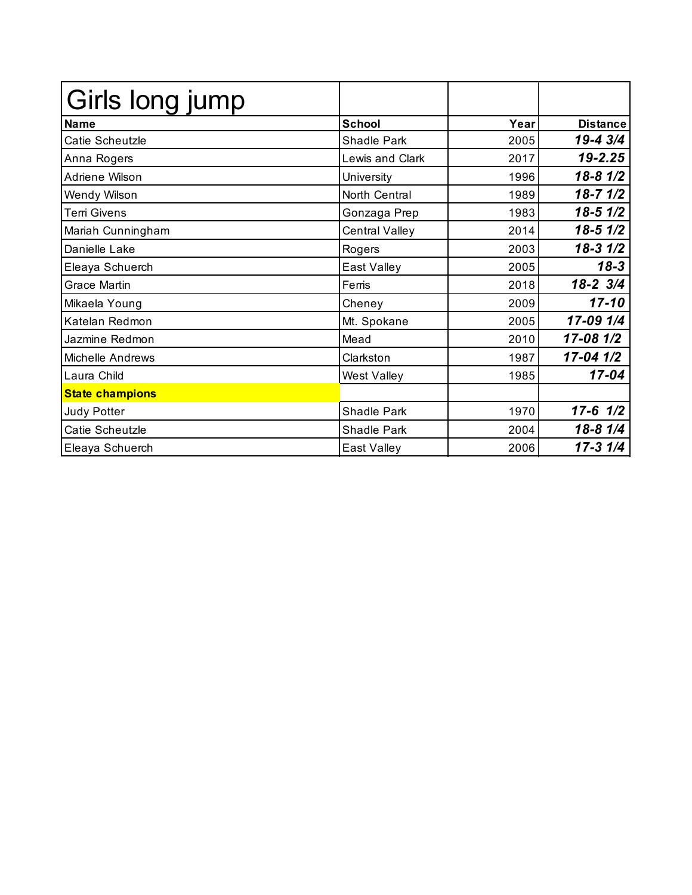| Girls long jump        |                        |      |                 |
|------------------------|------------------------|------|-----------------|
| <b>Name</b>            | <b>School</b>          | Year | <b>Distance</b> |
| Catie Scheutzle        | Shadle Park            | 2005 | 19-4 3/4        |
| Anna Rogers            | <b>Lewis and Clark</b> | 2017 | 19-2.25         |
| Adriene Wilson         | University             | 1996 | $18 - 81/2$     |
| Wendy Wilson           | North Central          | 1989 | $18 - 71/2$     |
| <b>Terri Givens</b>    | Gonzaga Prep           | 1983 | $18-5$ $1/2$    |
| Mariah Cunningham      | <b>Central Valley</b>  | 2014 | $18-5$ $1/2$    |
| Danielle Lake          | Rogers                 | 2003 | $18-31/2$       |
| Eleaya Schuerch        | East Valley            | 2005 | $18 - 3$        |
| <b>Grace Martin</b>    | Ferris                 | 2018 | 18-2 3/4        |
| Mikaela Young          | Cheney                 | 2009 | $17 - 10$       |
| Katelan Redmon         | Mt. Spokane            | 2005 | 17-09 1/4       |
| Jazmine Redmon         | Mead                   | 2010 | 17-08 1/2       |
| Michelle Andrews       | Clarkston              | 1987 | 17-04 1/2       |
| Laura Child            | West Valley            | 1985 | $17 - 04$       |
| <b>State champions</b> |                        |      |                 |
| <b>Judy Potter</b>     | Shadle Park            | 1970 | $17-6$ $1/2$    |
| Catie Scheutzle        | Shadle Park            | 2004 | 18-8 1/4        |
| Eleaya Schuerch        | East Valley            | 2006 | $17 - 31/4$     |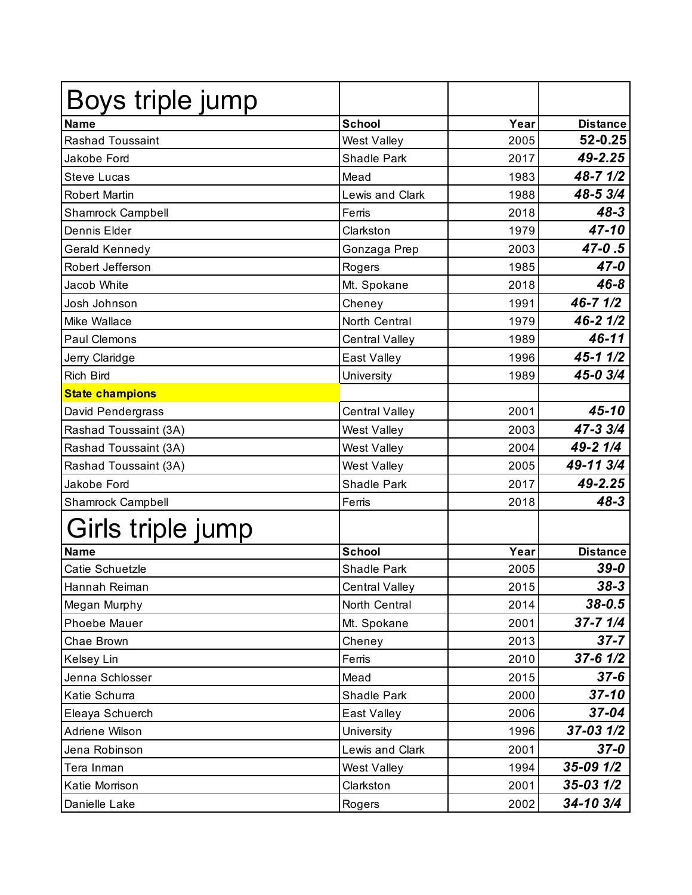| Boys triple jump         |                        |      |                 |
|--------------------------|------------------------|------|-----------------|
| <b>Name</b>              | <b>School</b>          | Year | <b>Distance</b> |
| <b>Rashad Toussaint</b>  | <b>West Valley</b>     | 2005 | 52-0.25         |
| Jakobe Ford              | Shadle Park            | 2017 | 49-2.25         |
| <b>Steve Lucas</b>       | Mead                   | 1983 | 48-7 1/2        |
| <b>Robert Martin</b>     | <b>Lewis and Clark</b> | 1988 | 48-5 3/4        |
| <b>Shamrock Campbell</b> | Ferris                 | 2018 | $48 - 3$        |
| Dennis Elder             | Clarkston              | 1979 | 47-10           |
| Gerald Kennedy           | Gonzaga Prep           | 2003 | $47-0.5$        |
| Robert Jefferson         | Rogers                 | 1985 | 47-0            |
| Jacob White              | Mt. Spokane            | 2018 | $46 - 8$        |
| Josh Johnson             | Cheney                 | 1991 | 46-7 1/2        |
| Mike Wallace             | North Central          | 1979 | 46-2 1/2        |
| Paul Clemons             | <b>Central Valley</b>  | 1989 | 46-11           |
| Jerry Claridge           | East Valley            | 1996 | $45 - 11/2$     |
| <b>Rich Bird</b>         | University             | 1989 | 45-0 3/4        |
| <b>State champions</b>   |                        |      |                 |
| David Pendergrass        | <b>Central Valley</b>  | 2001 | 45-10           |
| Rashad Toussaint (3A)    | <b>West Valley</b>     | 2003 | 47-3 3/4        |
| Rashad Toussaint (3A)    | <b>West Valley</b>     | 2004 | 49-2 1/4        |
| Rashad Toussaint (3A)    | <b>West Valley</b>     | 2005 | 49-11 3/4       |
| Jakobe Ford              | Shadle Park            | 2017 | 49-2.25         |
| Shamrock Campbell        | Ferris                 | 2018 | $48 - 3$        |
| Girls triple jump        |                        |      |                 |
| <b>Name</b>              | <b>School</b>          | Year | <b>Distance</b> |
| Catie Schuetzle          | <b>Shadle Park</b>     | 2005 | $39 - 0$        |
| Hannah Reiman            | <b>Central Valley</b>  | 2015 | $38 - 3$        |
| Megan Murphy             | North Central          | 2014 | $38 - 0.5$      |
| <b>Phoebe Mauer</b>      | Mt. Spokane            | 2001 | $37 - 7$ $1/4$  |
| Chae Brown               | Cheney                 | 2013 | $37 - 7$        |
| Kelsey Lin               | Ferris                 | 2010 | $37 - 6$ $1/2$  |
| Jenna Schlosser          | Mead                   | 2015 | $37 - 6$        |
| Katie Schurra            | Shadle Park            | 2000 | $37 - 10$       |
| Eleaya Schuerch          | East Valley            | 2006 | $37 - 04$       |
| Adriene Wilson           | University             | 1996 | $37 - 03$ $1/2$ |
| Jena Robinson            | Lewis and Clark        | 2001 | $37 - 0$        |
| Tera Inman               | <b>West Valley</b>     | 1994 | 35-09 1/2       |
| Katie Morrison           | Clarkston              | 2001 | $35 - 03$ $1/2$ |
| Danielle Lake            | Rogers                 | 2002 | 34-10 3/4       |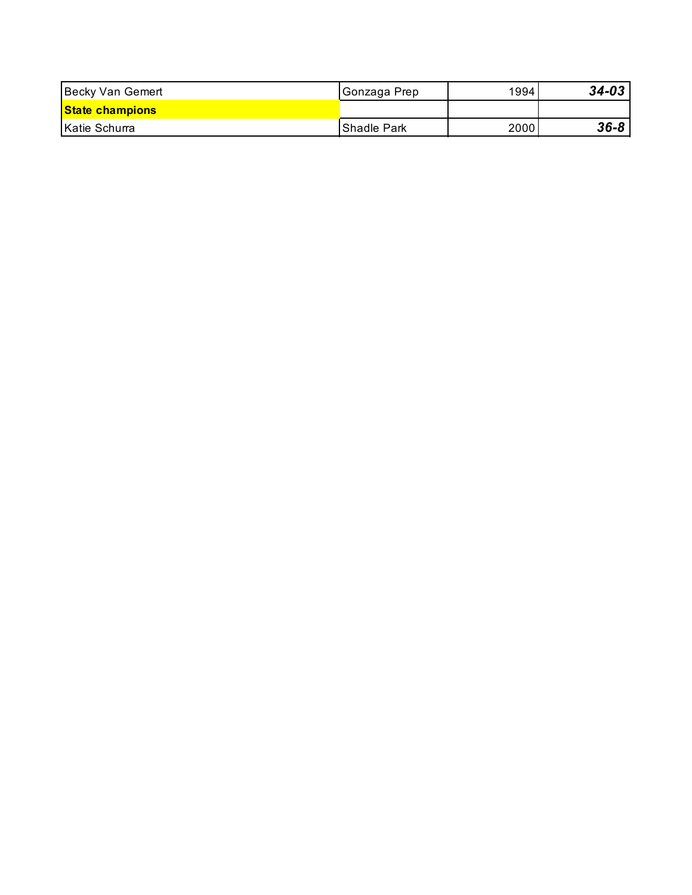| Becky Van Gemert       | <b>Gonzaga Prep</b> | 1994 | $34 - 03$ |
|------------------------|---------------------|------|-----------|
| <b>State champions</b> |                     |      |           |
| Katie Schurra          | IShadle Park        | 2000 | $36 - 8$  |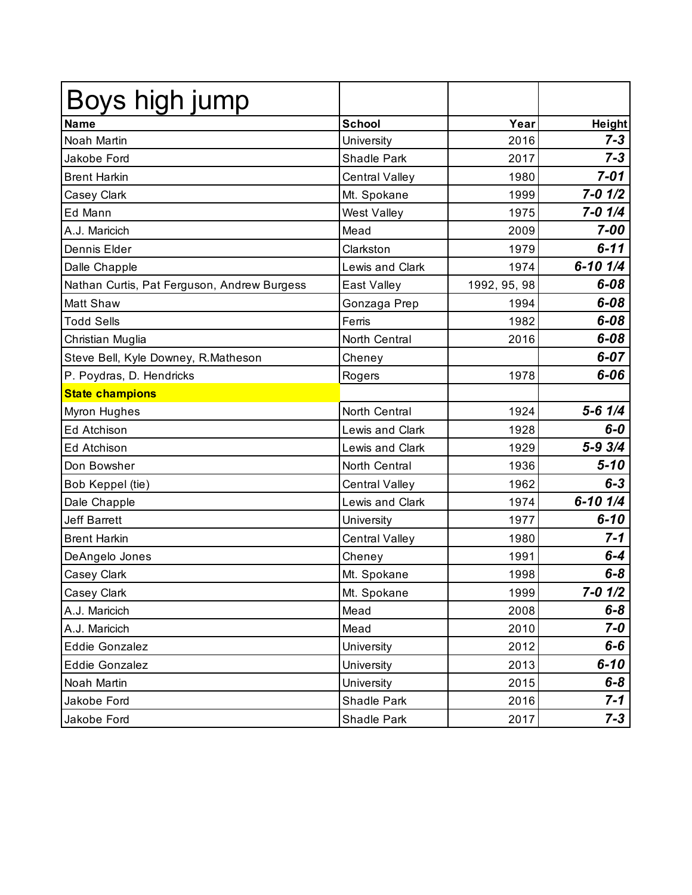| Boys high jump                              |                       |              |                |
|---------------------------------------------|-----------------------|--------------|----------------|
| <b>Name</b>                                 | <b>School</b>         | Year         | <b>Height</b>  |
| Noah Martin                                 | University            | 2016         | $7 - 3$        |
| Jakobe Ford                                 | <b>Shadle Park</b>    | 2017         | $7 - 3$        |
| <b>Brent Harkin</b>                         | <b>Central Valley</b> | 1980         | $7 - 01$       |
| Casey Clark                                 | Mt. Spokane           | 1999         | $7 - 0$ $1/2$  |
| Ed Mann                                     | West Valley           | 1975         | $7 - 0$ $1/4$  |
| A.J. Maricich                               | Mead                  | 2009         | $7 - 00$       |
| Dennis Elder                                | Clarkston             | 1979         | $6 - 11$       |
| Dalle Chapple                               | Lewis and Clark       | 1974         | $6 - 10$ $1/4$ |
| Nathan Curtis, Pat Ferguson, Andrew Burgess | East Valley           | 1992, 95, 98 | $6 - 08$       |
| <b>Matt Shaw</b>                            | Gonzaga Prep          | 1994         | $6 - 08$       |
| <b>Todd Sells</b>                           | Ferris                | 1982         | $6 - 08$       |
| Christian Muglia                            | North Central         | 2016         | $6 - 08$       |
| Steve Bell, Kyle Downey, R.Matheson         | Cheney                |              | $6 - 07$       |
| P. Poydras, D. Hendricks                    | Rogers                | 1978         | $6 - 06$       |
| <b>State champions</b>                      |                       |              |                |
| Myron Hughes                                | North Central         | 1924         | $5 - 6$ $1/4$  |
| Ed Atchison                                 | Lewis and Clark       | 1928         | 6-0            |
| Ed Atchison                                 | Lewis and Clark       | 1929         | $5 - 93/4$     |
| Don Bowsher                                 | North Central         | 1936         | $5 - 10$       |
| Bob Keppel (tie)                            | <b>Central Valley</b> | 1962         | $6 - 3$        |
| Dale Chapple                                | Lewis and Clark       | 1974         | $6 - 10$ $1/4$ |
| <b>Jeff Barrett</b>                         | University            | 1977         | $6 - 10$       |
| <b>Brent Harkin</b>                         | <b>Central Valley</b> | 1980         | $7 - 1$        |
| DeAngelo Jones                              | Cheney                | 1991         | $6-4$          |
| Casey Clark                                 | Mt. Spokane           | 1998         | $6 - 8$        |
| Casey Clark                                 | Mt. Spokane           | 1999         | 7-0 1/2        |
| A.J. Maricich                               | Mead                  | 2008         | $6 - 8$        |
| A.J. Maricich                               | Mead                  | 2010         | 7-0            |
| Eddie Gonzalez                              | University            | 2012         | $6-6$          |
| Eddie Gonzalez                              | University            | 2013         | $6 - 10$       |
| Noah Martin                                 | University            | 2015         | $6 - 8$        |
| Jakobe Ford                                 | Shadle Park           | 2016         | $7 - 1$        |
| Jakobe Ford                                 | Shadle Park           | 2017         | $7 - 3$        |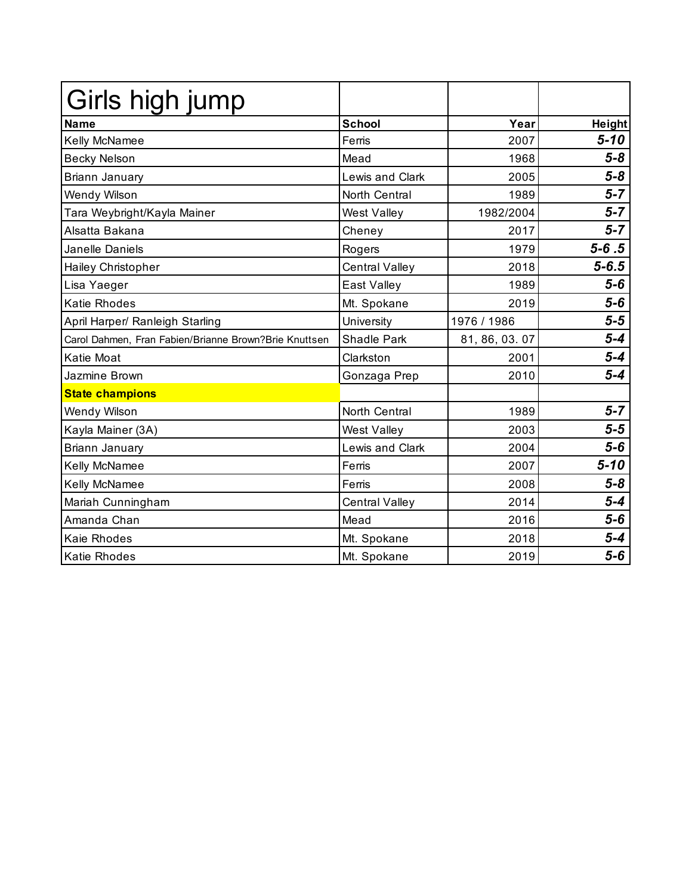| Girls high jump                                       |                        |                |               |
|-------------------------------------------------------|------------------------|----------------|---------------|
| <b>Name</b>                                           | <b>School</b>          | Year           | <b>Height</b> |
| Kelly McNamee                                         | Ferris                 | 2007           | $5 - 10$      |
| <b>Becky Nelson</b>                                   | Mead                   | 1968           | $5 - 8$       |
| Briann January                                        | <b>Lewis and Clark</b> | 2005           | $5 - 8$       |
| Wendy Wilson                                          | North Central          | 1989           | $5 - 7$       |
| Tara Weybright/Kayla Mainer                           | West Valley            | 1982/2004      | $5 - 7$       |
| Alsatta Bakana                                        | Cheney                 | 2017           | $5 - 7$       |
| Janelle Daniels                                       | Rogers                 | 1979           | $5 - 6.5$     |
| Hailey Christopher                                    | Central Valley         | 2018           | $5 - 6.5$     |
| Lisa Yaeger                                           | East Valley            | 1989           | $5-6$         |
| <b>Katie Rhodes</b>                                   | Mt. Spokane            | 2019           | $5-6$         |
| April Harper/ Ranleigh Starling                       | University             | 1976 / 1986    | $5 - 5$       |
| Carol Dahmen, Fran Fabien/Brianne Brown?Brie Knuttsen | <b>Shadle Park</b>     | 81, 86, 03. 07 | $5 - 4$       |
| Katie Moat                                            | Clarkston              | 2001           | $5 - 4$       |
| <b>Jazmine Brown</b>                                  | Gonzaga Prep           | 2010           | $5 - 4$       |
| <b>State champions</b>                                |                        |                |               |
| Wendy Wilson                                          | North Central          | 1989           | $5 - 7$       |
| Kayla Mainer (3A)                                     | West Valley            | 2003           | $5-5$         |
| Briann January                                        | <b>Lewis and Clark</b> | 2004           | $5-6$         |
| Kelly McNamee                                         | Ferris                 | 2007           | $5 - 10$      |
| Kelly McNamee                                         | Ferris                 | 2008           | $5 - 8$       |
| Mariah Cunningham                                     | <b>Central Valley</b>  | 2014           | $5 - 4$       |
| Amanda Chan                                           | Mead                   | 2016           | $5-6$         |
| Kaie Rhodes                                           | Mt. Spokane            | 2018           | $5 - 4$       |
| <b>Katie Rhodes</b>                                   | Mt. Spokane            | 2019           | $5-6$         |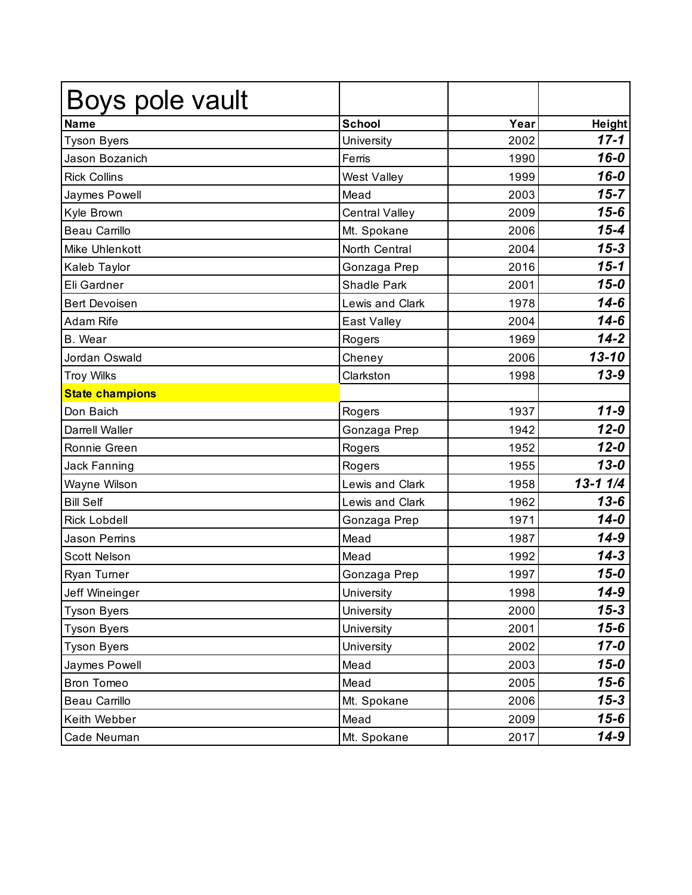| Boys pole vault        |                        |      |               |
|------------------------|------------------------|------|---------------|
| <b>Name</b>            | <b>School</b>          | Year | <b>Height</b> |
| <b>Tyson Byers</b>     | University             | 2002 | $17 - 1$      |
| Jason Bozanich         | Ferris                 | 1990 | $16 - 0$      |
| <b>Rick Collins</b>    | West Valley            | 1999 | $16 - 0$      |
| Jaymes Powell          | Mead                   | 2003 | $15 - 7$      |
| Kyle Brown             | <b>Central Valley</b>  | 2009 | $15 - 6$      |
| <b>Beau Carrillo</b>   | Mt. Spokane            | 2006 | $15 - 4$      |
| Mike Uhlenkott         | North Central          | 2004 | $15 - 3$      |
| Kaleb Taylor           | Gonzaga Prep           | 2016 | $15 - 1$      |
| Eli Gardner            | <b>Shadle Park</b>     | 2001 | $15 - 0$      |
| <b>Bert Devoisen</b>   | <b>Lewis and Clark</b> | 1978 | $14 - 6$      |
| <b>Adam Rife</b>       | East Valley            | 2004 | $14 - 6$      |
| <b>B.</b> Wear         | Rogers                 | 1969 | $14 - 2$      |
| Jordan Oswald          | Cheney                 | 2006 | $13 - 10$     |
| <b>Troy Wilks</b>      | Clarkston              | 1998 | $13 - 9$      |
| <b>State champions</b> |                        |      |               |
| Don Baich              | Rogers                 | 1937 | $11 - 9$      |
| Darrell Waller         | Gonzaga Prep           | 1942 | $12 - 0$      |
| Ronnie Green           | Rogers                 | 1952 | $12 - 0$      |
| Jack Fanning           | Rogers                 | 1955 | $13 - 0$      |
| Wayne Wilson           | Lewis and Clark        | 1958 | $13 - 11/4$   |
| <b>Bill Self</b>       | Lewis and Clark        | 1962 | $13 - 6$      |
| <b>Rick Lobdell</b>    | Gonzaga Prep           | 1971 | $14 - 0$      |
| Jason Perrins          | Mead                   | 1987 | $14 - 9$      |
| <b>Scott Nelson</b>    | Mead                   | 1992 | $14 - 3$      |
| Ryan Turner            | Gonzaga Prep           | 1997 | $15 - 0$      |
| Jeff Wineinger         | University             | 1998 | 14-9          |
| <b>Tyson Byers</b>     | University             | 2000 | $15 - 3$      |
| <b>Tyson Byers</b>     | University             | 2001 | $15 - 6$      |
| <b>Tyson Byers</b>     | University             | 2002 | $17 - 0$      |
| Jaymes Powell          | Mead                   | 2003 | $15 - 0$      |
| Bron Tomeo             | Mead                   | 2005 | $15 - 6$      |
| Beau Carrillo          | Mt. Spokane            | 2006 | $15 - 3$      |
| Keith Webber           | Mead                   | 2009 | $15 - 6$      |
| Cade Neuman            | Mt. Spokane            | 2017 | $14 - 9$      |